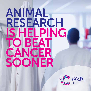# ANIMAL RESEARCH IS HELPING TO BEAT CANCER SOONER



**CANCER RESEARCH** UK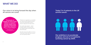## WHAT WE DO

Our vision is to bring forward the day when all cancers are cured.

#### 'Thousands of people are alive today thanks to research. Animal studies have played an important part in this progress.'

Professor Karen Vousden, Chief Scientist, Cancer Research UK

Thanks to our supporters, our scientists are making cutting-edge discoveries every day, finding better ways to prevent, diagnose and treat cancer.

Our world-class research – which includes studies involving animals – has helped double survival rates over the last 40 years.

But with cancer set to affect 1 in 2 of us in the future, there's still much more to do if we're going to beat it.

#### Today 2 in 4 patients in the UK survive cancer.

Our ambition is to accelerate progress and see 3 in 4 patients surviving cancer by 2034.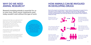## WHY DO WE NEED ANIMAL RESEARCH?

Research involving animals is essential for us to save lives. Most cancer treatments used today wouldn't exist without this type of work.

Studying animals helps us to understand more about cancer so we can find better ways to detect and treat it. This includes discovering the faulty genes that cause cancer, investigating how cancer grows and spreads, and exploring how our bodies can help fight tumours.

Animal research is also an important way to develop new drugs, radiotherapy and surgical techniques.

It's the law in the UK that all new drugs are tested in animals before they can be tested in people. This minimises the risk to cancer patients during the development of new cancer drugs.

Researchers who study animals must show that there is no alternative, they have involved the smallest number of animals possible, and every step has been taken to minimise distress.

## HOW ANIMALS CAN BE INVOLVED IN DEVELOPING DRUGS

Much of the research we fund doesn't involve animals. Of the projects we support that do, more than 9 in 10 are studies of mice – others may involve fish or frogs. All animals involved in research are bred in licensed facilities to make sure the scientific findings are accurate and reproducible. One of the ways animals can be involved in cancer research is testing new drugs.

Researchers find a promising molecule to target in cancer cells.

If the chemical is effective in mice, researchers go back to the lab and turn their idea into a drug.

The drug is tested again in animals to make sure it's safe, and to find out what dose works best and if there are any side effects.



Scientists develop a chemical that blocks the molecule, and test it on cancer cells growing in the lab.

If the chemical works well in the lab, the next step is testing it in mice to see if it works on tumours in the body.

Doctors can now apply for a licence to test the new drug in people with cancer.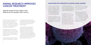## ANIMAL RESEARCH IMPROVES CANCER TREATMENT

### Animal research has made a real difference for people with cancer.

Science involving animals has been vital for discovering drugs like tamoxifen for breast cancer. And scientists first spotted the potential of Glivec – a drug that cures people with chronic myeloid leukaemia – in research involving mice.

Antibody treatments were also developed thanks to animal studies, leading to treatments like cetuximab for bowel cancer, and drugs that harness the body's immune system to fight cancer.

Animal research has been crucial for improving radiotherapy and surgery.

For example keyhole surgery was first tested in animals. And developing ways to prevent cancer, such as the cervical cancer vaccine, relies on animal research.

Understanding how faulty genes cause cancer couldn't be done without animal research, because researchers need to look at the whole body, rather than individual cells or tissues. Genetic engineering – something that can't legally be done in people – helped scientists prove in mice that faulty versions of genes like BRCA1 cause many cancers.

#### MORE MEN WITH PROSTATE CANCER LIVING LONGER

Prostate cancer is the most common cancer in UK men, claiming thousands of lives every year. Treatment often involves a combination of surgery, radiotherapy and chemotherapy. But, sadly, some men's cancer returns.

Thanks to our research, there is hope. In the 1980s scientists discovered that an anti-fungal drug could stop cells making testosterone – the hormone

that drives prostate cancer growth. But this drug had to be taken several times a day and it had serious side effects. Men needed a better alternative.

Our researchers went on to develop a new drug called abiraterone. Animal research was needed to find out if it would be more effective and have fewer side effects. Our scientists discovered that mice given abiraterone once a day for two weeks had virtually no testosterone in their blood.

This proved the drug stopped the hormone being produced. The mice also experienced fewer side effects.

Thanks to this vital research, doctors had sound evidence to take abiraterone into clinical trials. This drug is now available to men with advanced prostate cancer, giving them more time with their loved ones and a better quality of life while taking the drug.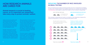## HOW RESEARCH ANIMALS ARE CARED FOR

Animal research is crucial to beating cancer, so it's important our researchers take every step to protect animals' welfare.

Highly trained and qualified staff, including specialist vets, look after research animals. The work is governed by strict laws and must be carried out by licensed people at licensed premises, which have to meet standards of care.

Animals' environment must be carefully controlled according to what they need. This includes things like the right lighting and temperature, correctly sized cages to avoid overcrowding, and having bedding and toys. Animals are also checked daily for health problems.

Many procedures involving animals are mild, like being scanned or having a blood sample taken. When a more invasive procedure is done, animals are given pain relief and monitored closely for signs of distress. If an animal's life needs to be ended it's carried out humanely to give them a fast, pain-free death with minimum distress.

All animal research is approved by an ethics panel including members of the public. They must agree the work is necessary, the animals are being cared for correctly and the potential benefits are worthwhile.

#### REDUCING THE NUMBER OF MICE INVOLVED IN DRUG TESTING

We can't develop drugs without involving animals yet, but our researchers are helping to reduce the number needed. This example shows how our scientists have developed microsampling, a technique to reduce the number of mice involved in drug testing.

OLD TESTING METHOD

#### NEW MICROSAMPLING METHOD

2 untreated mice  $\bigcirc$  for comparison



Mice are given a drug either by mouth or an injection, then researchers measure the amount of drug there is in the mice's blood at five points in time.

> At each point in time 4 mice were humanely killed to collect enough blood to test.

Thanks to modern, sensitive equipment, researchers only need a small blood sample, taken using a fine needle.



The same 4 mice are tested before treatment at each point in time.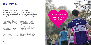## THE FUTURE

Animals are only part of the story. Researchers study cells grown in the lab, examine samples of human tumours, and use computers to model cancer cells virtually.

Our scientists are helping to improve animal research by developing ways to: replace animals; reduce the number of animals needed (see p. 9); and **refine** experiments to limit distress to them. Here are some examples.

Modern imaging techniques that track cancer in a single animal as it develops and spreads mean fewer animals are needed for each study.

Scientists are designing tests to predict side effects of new cancer treatments using small samples of human blood. This might mean fewer animals are needed to check a drug's safety.

Researchers are developing artificial tumours grown in the lab. This will help them uncover how tumour cells communicate with the healthy cells around them – a process key to the growth and spread of cancer. These artificial tumours could replace the use of animals to study these relationships.

Completely replacing all animals in research is not yet possible. For now we will continue funding the highest quality research – including research involving animals – to help beat cancer sooner.

#### CANCER PATIENTS AND THEIR FAMILIES ARE AT THE HEART OF EVERYTHING WE DO

We believe that all our research is vital if we are to save the lives of more people in the future.

FOR MY

CANCER RESEAR<sup>IH</sup>